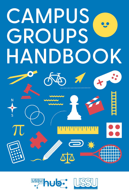



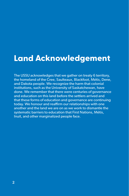# **Land Acknowledgement**

The USSU acknowledges that we gather on treaty 6 territory, the homeland of the Cree, Saulteaux, Blackfoot, Métis, Dene, and Dakota people. We recognize the harm that colonial institutions, such as the University of Saskatchewan, have done. We remember that there were centuries of governance and education on this land before the settlers arrived and that these forms of education and governance are continuing today. We honour and reaffirm our relationships with one another and the land we are on as we work to dismantle the systematic barriers to education that First Nations, Métis, Inuit, and other marginalized people face.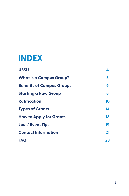# **INDEX**

| <b>USSU</b>                      | 4  |
|----------------------------------|----|
| <b>What is a Campus Group?</b>   | 5  |
| <b>Benefits of Campus Groups</b> | 6  |
| <b>Starting a New Group</b>      | 8  |
| <b>Ratification</b>              | 10 |
| <b>Types of Grants</b>           | 14 |
| <b>How to Apply for Grants</b>   | 18 |
| <b>Louis' Event Tips</b>         | 19 |
| <b>Contact Information</b>       | 21 |
| FAQ                              | 23 |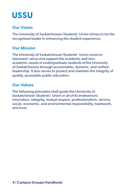# <span id="page-3-0"></span>**USSU**

# **Our Vision**

The University of Saskatchewan Students' Union strives to be the recognized leader in enhancing the student experience.

### **Our Mission**

The University of Saskatchewan Students' Union exists to represent, serve and support the academic and nonacademic needs of undergraduate students of the University of Saskatchewan through accountable, dynamic, and unified leadership. It also serves to protect and maintain the integrity of quality, accessible public education.

### **Our Values**

The following principles shall guide the University of Saskatchewan Students' Union in all of its endeavours: innovation, integrity, mutual respect, professionalism, service, social, economic, and environmental responsibility, teamwork, and trust.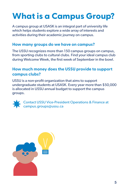# <span id="page-4-0"></span>**What is a Campus Group?**

A campus group at USASK is an integral part of university life which helps students explore a wide array of interests and activities during their academic journey on campus.

#### **How many groups do we have on campus?**

The USSU recognizes more than 150 campus groups on campus, from sporting clubs to cultural clubs. Find your ideal campus club during Welcome Week, the first week of September in the bowl.

### **How much money does the USSU provide to support campus clubs?**

USSU is a non-profit organization that aims to support undergraduate students at USASK. Every year more than \$50,000 is allocated in USSU annual budget to support the campus groups.

**Contact USSU Vice-President Operations & Finance at A**Campus.groups@ussu.ca

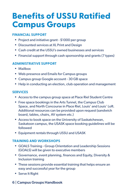# <span id="page-5-0"></span>**Benefits of USSU Ratified Campus Groups**

#### **FINANCIAL SUPPORT**

- Project and initiative grant \$1000 per group
- Discounted services at XL Print and Design
- Cash credit at the USSU's owned businesses and services
- Financial support through cash sponsorship and grants (7 types)

#### **ADMINISTRATIVE SUPPORT**

- Mailbox
- Web presence and Emails for Campus groups
- Campus group Google account 30 GB space
- Help in conducting an election, club operation and management

#### **SERVICES**

- Access to the campus group space at Place Riel Student Centre
- Free space bookings in the Arts Tunnel, the Campus Club Space, and North Concourse in Place Riel, Louis' and Louis' Loft. Additional resources can be provided upon request (sandwich board, tables, chairs, AV system etc.)
- Access to [book space](https://ussu.ca/main-page/services/student-groups/campus-group-room-booking/) on the University of Saskatchewan, Saskatoon campus, the USASK space booking guidelines will be followed
- Equipment rentals through USSU and USASK

#### **TRAINING AND WORKSHOPS**

- GOALS Training Group Orientation and Leadership Sessions (GOALS) will be given to executive members
- Governance, event planning, finances and Equity, Diversity & Inclusion training
- These sessions provide essential training that helps ensure an easy and successful year for the group
- Serve It Right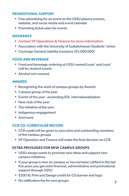#### **PROMOTIONAL SUPPORT**

- Free advertising for an event on the USSU plasma screens, website, and social media and event calendar
- Promoting ticket sales for events

#### **INSURANCE**

- Contact VP Operations & Finance for more information
- Association with the University of Saskatchewan Students' Union
- Coverage General Liability Insurance (\$5,000,000)

#### **FOOD AND BEVERAGE**

- Food and beverage ordering at USSU owned Louis' and Louis' Loft for student events
- Alcohol not covered.

#### **AWARDS**

- Recognizing the work of campus groups by Awards
- Campus group of the year
- Events of the year promoting EDI, internationalization
- New club of the year
- The initiative of the year
- Indigenous engagement
- And more

#### **CCR CO-CURRICULAR RECORD**

- CCR credit will be given to executive and outstanding members of the campus groups
- VP Operation and Finance will make the final decision on CCR

#### **EXTRA PRIVILEGES FOR NEW CAMPUS GROUPS**

- USSU always wants to promote new ideas and support new campus initiatives
- If your group is new on campus or has not been ratified in the last five years you get extra financial, administrative and promotional support through USSU
- \$200 XL Print and Design credit for CG banner and logo
- No ratification fee for new groups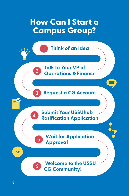# <span id="page-7-0"></span>**How Can I Start a Campus Group?**

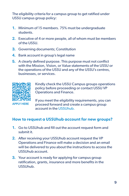The eligibility criteria for a campus group to get ratified under USSU campus group policy:

- 1. Minimum of 15 members. 75% must be undergraduate students.
- 2. Executive of 4 or more people, all of whom must be members of the USSU.
- **3.** Governing documents; Constitution
- 4. Bank account in group's legal name
- **5.** A clearly defined purpose. This purpose must not conflict with the Mission, Vision, or Value statements of the USSU or the operations of the USSU and any of the USSU's centres, businesses, or services.



Kindly check the [USSU Campus groups operations](https://ussu.ca/main-page/governance/bylaws-policies/)  [policy](https://ussu.ca/main-page/governance/bylaws-policies/) before proceeding or contact USSU VP Operations and Finance.

APPLY HERE

If you meet the eligibility requirements, you can proceed forward and create a campus group account in the [USSUhub.](https://fms.ussu.ca/fmi/webd/ussuhub)

### **How to request a USSUhub account for new groups?**

- 1. Go to [USSUhub](https://fms.ussu.ca/fmi/webd/ussuhub) and fill out the account request form and submit it.
- 2. After receiving your USSUhub account request the VP Operations and Finance will make a decision and an email will be delivered to you about the instructions to access the [USSUhub](https://fms.ussu.ca/fmi/webd/ussuhub) account.
- **3.** Your account is ready for applying for campus group ratification, grants, insurance and more benefits in the [USSUhub.](https://fms.ussu.ca/fmi/webd/ussuhub)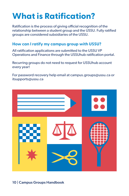# <span id="page-9-0"></span>**What is Ratification?**

Ratification is the process of giving official recognition of the relationship between a student group and the USSU. Fully ratified groups are considered subsidiaries of the USSU.

#### **How can I ratify my campus group with USSU?**

All ratification applications are submitted to the USSU VP Operations and Finance through the [USSUhub](https://fms.ussu.ca/fmi/webd/ussuhub) ratification portal.

Recurring groups do not need to request for [USSUhub](https://fms.ussu.ca/fmi/webd/ussuhub) account every year!

For password recovery help email at [campus.groups@ussu.ca](mailto:campus.groups%40ussu.ca?subject=) or [itsupports@ussu.ca](mailto:itsupports%40ussu.ca?subject=)

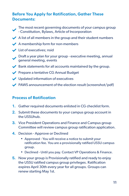# **Before You Apply for Ratification, Gather These Documents:**

- The most recent [governing documents](https://docs.google.com/document/d/12-prs731i6lJ4sKo-n69a9DqIMw-E22zT0hd9FY-Bb8/edit?usp=sharing) of your campus group - Constitution, Bylaws, Article of Incorporation
- $\blacktriangleright$  A list of all members in the group and their student numbers
- $\blacktriangleright$  A membership form for non-members
- $\bigvee$  List of executives; nsid
- Draft a year plan for your group executive meeting, annual general meeting, events
- $\blacktriangleright$  Bank statements for all accounts maintained by the group.
- Prepare a tentative [CG Annual Budget](https://drive.google.com/file/d/1ZR7EPPd9gYOean30yWWSHSWPQ9KBmLci/view?usp=sharing)
- Updated information of executives
- $\blacktriangleright$  PAWS announcement of the election result (screenshot/pdf)

### **Process of Ratification**

- 1. Gather required documents enlisted in CG checklist form.
- 2. Submit these documents to your campus group account in the [USSUhub.](https://fms.ussu.ca/fmi/webd/ussuhub)
- **3.** Vice President Operations and Finance and Campus group Committee will review campus group ratification application.
- 4. Decision Approve or Declined
	- Approved You will receive a notice to submit your ratification fee. You are a provisionally ratified USSU campus group.
	- Declined Until you pay. Contact VP Operations & Finance.
- **5.** Now your group is Provisionally ratified and ready to enjoy the USSU ratified campus group privileges. Ratification expires April 30th every year for all groups. Groups can renew starting May 1st.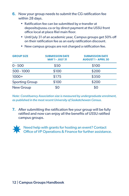6. Now your group needs to submit the CG ratification fee within 28 days.

- Ratification fee can be submitted by e-transfer at [deposits@ussu.ca](mailto:deposits%40ussu.ca?subject=) or by direct payment at the USSU front office local at place Riel main floor.
- Until July 31 of an academic year, Campus groups get 50% off on their ratification fee as an early ratification discount.

| <b>GROUP SIZE</b>     | <b>SUBMISSION DATE</b><br><b>MAY 1 - JULY 31</b> | <b>SUBMISSION DATE</b><br><b>AUGUST 1 - APRIL 30</b> |
|-----------------------|--------------------------------------------------|------------------------------------------------------|
| $0 - 500$             | \$50                                             | \$100                                                |
| 500 - 1000            | \$100                                            | \$200                                                |
| $1000+$               | \$175                                            | \$350                                                |
| <b>Sporting Group</b> | \$100                                            | \$200                                                |
| <b>New Group</b>      | \$0                                              | \$0                                                  |

• New campus groups are not charged a ratification fee.

*Note: Constituency Association size is measured by undergraduate enrolment, as published in the most recent University of Saskatchewan Census.*

7. After submitting the ratification fee your group will be fully ratified and now can enjoy all the benefits of USSU ratified campus groups.



Reed help with grants for hosting an event? Contact **THE Office of VP Operations & Finance for further assistance.**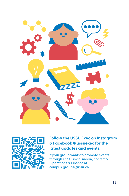



### **Follow the USSU Exec on Instagram & Facebook @ussuexec for the latest updates and events.**

If your group wants to promote events through USSU social media, contact VP Operations & Finance at [campus.groups@ussu.ca](mailto:campusgroup%40ussu.ca?subject=)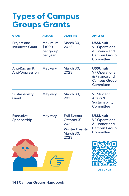# <span id="page-13-0"></span>**Types of Campus Groups Grants**

| <b>GRANT</b>                            | <b>AMOUNT</b>                              | <b>DEADLINE</b>                                                                        | <b>APPLY AT</b>                                                                             |
|-----------------------------------------|--------------------------------------------|----------------------------------------------------------------------------------------|---------------------------------------------------------------------------------------------|
| Project and<br><b>Initiatives Grant</b> | Maximum<br>\$1000<br>per group<br>per year | March 30,<br>2023                                                                      | <b>USSUhub</b><br><b>VP Operations</b><br>& Finance and<br><b>Campus Group</b><br>Committee |
| Anti-Racism &<br><b>Anti-Oppression</b> | May vary                                   | March 30,<br>2023                                                                      | <b>USSUhub</b><br><b>VP Operations</b><br>& Finance and<br><b>Campus Group</b><br>Committee |
| Sustainability<br>Grant                 | May vary                                   | March 30,<br>2023                                                                      | <b>VP Student</b><br>Affairs &<br>Sustainability<br>Committee                               |
| <b>Executive</b><br>Sponsorship         | May vary                                   | <b>Fall Events</b><br>October 31,<br>2022<br><b>Winter Events</b><br>March 30,<br>2023 | <b>USSUhub</b><br><b>VP Operations</b><br>& Finance and<br><b>Campus Group</b><br>Committee |
|                                         |                                            |                                                                                        | <b>USSUhub</b>                                                                              |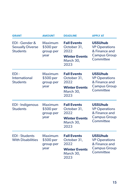| <b>GRANT</b>                                               | <b>AMOUNT</b>                             | <b>DEADLINE</b>                                                                        | <b>APPLY AT</b>                                                                             |
|------------------------------------------------------------|-------------------------------------------|----------------------------------------------------------------------------------------|---------------------------------------------------------------------------------------------|
| EDI-Gender &<br><b>Sexually Diverse</b><br><b>Students</b> | Maximum<br>\$500 per<br>group per<br>year | <b>Fall Events</b><br>October 31,<br>2022<br><b>Winter Events</b><br>March 30,<br>2023 | <b>USSUhub</b><br><b>VP Operations</b><br>& Finance and<br><b>Campus Group</b><br>Committee |
| EDI-<br>International<br><b>Students</b>                   | Maximum<br>\$500 per<br>group per<br>year | <b>Fall Events</b><br>October 31,<br>2022<br><b>Winter Events</b><br>March 30,<br>2023 | <b>USSUhub</b><br><b>VP Operations</b><br>& Finance and<br><b>Campus Group</b><br>Committee |
| <b>EDI-Indigenous</b><br><b>Students</b>                   | Maximum<br>\$500 per<br>group per<br>year | <b>Fall Events</b><br>October 31,<br>2022<br><b>Winter Events</b><br>March 30,<br>2023 | <b>USSUhub</b><br><b>VP Operations</b><br>& Finance and<br><b>Campus Group</b><br>Committee |
| <b>EDI</b> - Students<br><b>With Disabilities</b>          | Maximum<br>\$500 per<br>group per<br>year | <b>Fall Events</b><br>October 31,<br>2022<br><b>Winter Events</b><br>March 30,<br>2023 | <b>USSUhub</b><br><b>VP Operations</b><br>& Finance and<br><b>Campus Group</b><br>Committee |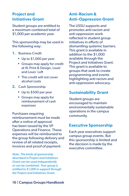### **Project and Initiatives Grant**

Student groups are entitled to a maximum combined total of \$1,000 per academic year.

This sponsorship may be used in the following way:

- 1. Business Credit
	- Up to \$1,000 per year
	- Groups may apply for credit at XL Print & Design, Louis' and Louis' Loft
	- This credit will not cover alcohol costs
- 2. Cash Sponsorship
	- Up to \$500 per year
	- Groups may apply for reimbursement of cash expenses

Purchases requiring reimbursement must be made after a notice of approval has been issued by the VP Operations and Finance. These expenses will be reimbursed to the group following delivery and review of all related receipts, invoices and proof of payment.

*Note: The kinds of sponsorship described in Project and Initiatives Grant can be used independently or can be combined. Your group is entitled to \$1,000 in support through the Project and Initiatives Grant.*

### **Anti-Racism & Anti-Oppression Grant**

The USSU supports and promotes anti-racism and anti-oppression work reflected in student group initiatives in efforts of dismantling systemic barriers. This grant is available in addition to the \$1,000 available through the Project and Initiatives Grant. This grant is available to groups that seek to create programming and events highlighting anti-racism and anti-oppression advocacy.

#### **Sustainability Grant**

Student groups are encouraged to maintain environmentally sustainable operations in the campus community.

#### **Executive Sponsorship**

Each year executives support campus group events. But this sponsorship is limited and the decision is made by the executive committee.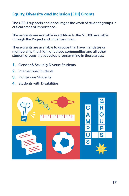## **Equity, Diversity and Inclusion (EDI) Grants**

The USSU supports and encourages the work of student groups in critical areas of importance.

These grants are available in addition to the \$1,000 available through the Project and Initiatives Grant.

These grants are available to groups that have mandates or membership that highlight these communities and all other student groups that develop programming in these areas:

- 1. Gender & Sexually Diverse Students
- 2. International Students
- 3. Indigenous Students
- **4.** Students with Disabilities

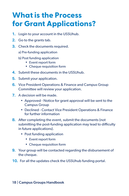# <span id="page-17-0"></span>**What is the Process for Grant Applications?**

- 1. Login to your account in the [USSUhub.](https://fms.ussu.ca/fmi/webd/ussuhub)
- 2. Go to the grants tab.
- **3.** Check the documents required.
	- a) Pre-funding application
	- b) Post funding application
		- Event report form
		- Cheque requisition form
- 4. Submit these documents in the USSUhub.
- 5. Submit your application.
- **6.** Vice President Operations & Finance and Campus Group Committee will review your application.
- 7. A decision will be made.
	- Approved Notice for grant approval will be sent to the Campus Group
	- Declined Contact Vice President Operations & Finance for further information
- 8. After completing the event, submit the documents (not submitting the post-funding application may lead to difficulty in future applications).
	- Post funding application
		- Event report form
		- Cheque requisition form
- **9.** Your group will be contacted regarding the disbursement of the cheque.
- 10. For all the updates check the USSU hub funding portal.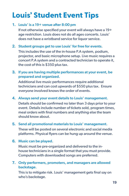# <span id="page-18-0"></span>**Louis' Student Event Tips**

#### 1. Louis' is a 19+ venue after 8:00 pm

If not otherwise specified your event will always have a 19+ age restriction. Louis does not do all ages concerts. Louis' does not have a wristband service for liquor service.

#### 2. Student groups get to use Louis' for free for events.

This includes the use of the in-house P.A system, podium, projector, and basic microphone setup. Live music requires a concert P.A system and a contracted technician to operate it, the cost of this is \$350 plus tax.

3. If you are having multiple performances at your event, be prepared and organized.

Additional live music performances require additional technicians and can cost upwards of \$550 plus tax. Ensure everyone involved knows the order of events.

#### 4. Always send your event details to Louis' management.

Details should be confirmed no later than 3 days prior to your event. Details include number of tickets sold, program times, meal orders with final numbers and anything else the team should know about.

# 5. Send all promotional materials to Louis' management.

These will be posted on several electronic and social media platforms. Physical flyers can be hung up around the venue.

#### 6. Music can be played.

Music must be pre-organized and delivered to the inhouse technicians in a single format that you must provide. Computers with downloaded songs are preferred.

#### 7. Only performers, promoters, and managers are allowed backstage.

This is to mitigate risk. Louis' management gets final say on who's backstage.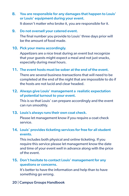8. You are responsible for any damages that happen to Louis' or Louis' equipment during your event.

It doesn't matter who broke it, you are responsible for it.

9. Do not oversell your catered event.

The final number you provide to Louis' three days prior will be the amount of food made.

10. Pick your menu accordingly.

Appetizers are a nice treat during an event but recognize that your guests might expect a meal and not just snacks, especially during meal hours.

11. The event hosts must be sober at the end of the event.

There are several business transactions that will need to be completed at the end of the night that are impossible to do if the hosts are not lucid and clear headed.

#### 12. Always give Louis' management a realistic expectation of potential turnout to your event.

This is so that Louis' can prepare accordingly and the event can run smoothly.

#### 13. Louis's always runs their own coat check.

Please let management know if you require a coat check service.

### 14. Louis' provides ticketing services for free for all student events.

This includes both physical and online ticketing. If you require this service please let management know the date and time of your event well in advance along with the price of the event.

### 15. Don't hesitate to contact Louis' management for any questions or concerns.

It's better to have the information and help than to have something go wrong.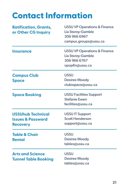# <span id="page-20-0"></span>**Contact Information**

| <b>Ratification, Grants,</b><br>or Other CG Inquiry                         | <b>USSU VP Operations &amp; Finance</b><br>Lia Storey-Gamble<br>306 966 6967<br>campus.groups@ussu.ca |
|-----------------------------------------------------------------------------|-------------------------------------------------------------------------------------------------------|
| <b>Insurance</b>                                                            | <b>USSU VP Operations &amp; Finance</b><br>Lia Storey-Gamble<br>306 966 6767<br>vpopfin@ussu.ca       |
| <b>Campus Club</b><br><b>Space</b>                                          | <b>USSU</b><br><b>Desiree Moody</b><br>clubsspace@ussu.ca                                             |
| <b>Space Booking</b>                                                        | <b>USSU Facilities Support</b><br><b>Stefanie Ewen</b><br>facilities@ussu.ca                          |
| <b>USSUhub Technical</b><br><b>Issues &amp; Password</b><br><b>Recovery</b> | <b>USSU IT Support</b><br><b>Scott Henderson</b><br>support@ussu.ca                                   |
| <b>Table &amp; Chair</b><br>Rental                                          | <b>USSU</b><br><b>Desiree Moody</b><br>tables@ussu.ca                                                 |
| <b>Arts and Science</b><br><b>Tunnel Table Booking</b>                      | <b>USSU</b><br><b>Desiree Moody</b><br>tables@ussu.ca                                                 |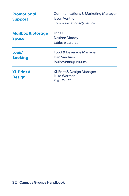| <b>Promotional</b><br><b>Support</b>         | <b>Communications &amp; Marketing Manager</b><br>Jason Ventnor<br>communications@ussu.ca |
|----------------------------------------------|------------------------------------------------------------------------------------------|
| <b>Mailbox &amp; Storage</b><br><b>Space</b> | <b>USSU</b><br><b>Desiree Moody</b><br>tables@ussu.ca                                    |
| Louis'<br><b>Booking</b>                     | Food & Beverage Manager<br>Dan Smolinski<br>louisevents@ussu.ca                          |
| <b>XL Print &amp;</b><br><b>Design</b>       | XL Print & Design Manager<br>Luke Warman<br>xl@ussu.ca                                   |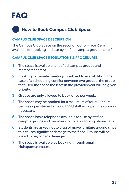<span id="page-22-0"></span>

# **How to Book Campus Club Space 1**

#### **CAMPUS CLUB SPACE DESCRIPTION**

The Campus Club Space on the second floor of Place Riel is available for booking and use by ratified campus groups at no fee.

#### **CAMPUS CLUB SPACE REGULATIONS & PROCEDURES**

- **1.** The space is available to ratified campus groups and members thereof.
- 2. Booking for private meetings is subject to availability. In the case of a scheduling conflict between two groups, the group that used the space the least in the previous year will be given priority.
- **3.** Groups are only allowed to book once per week.
- 4. The space may be booked for a maximum of four (4) hours per week per student group. USSU staff will open the room as necessary.
- 5. The space has a telephone available for use by ratified campus groups and members for local outgoing phone calls.
- 6. Students are asked not to drag or move furniture around since this causes significant damage to the floor. Groups will be asked to pay for any damages.
- 7. The space is available by booking through email: [clubspace@ussu.ca](mailto:clubspace%40ussu.ca%20?subject=)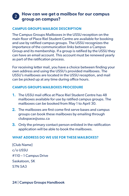# **How can we get a mailbox for our campus group on campus? <sup>2</sup>**

#### **CAMPUS GROUPS MAILBOX DESCRIPTION**

The Campus Groups Mailboxes in the USSU reception on the main floor of Place Riel Student Centre are available for booking and use by ratified campus groups. The USSU recognizes the importance of the communication links between a Campus Group and its membership. If a group is ratified by the USSU they can have an email account. This account must be renewed yearly as part of the ratification process.

For receiving letter mail, you have a choice between finding your own address and using the USSU's provided mailboxes. The USSU's mailboxes are located in the USSU reception, and mail can be picked up at any time during office hours.

#### **CAMPUS GROUPS MAILBOXES PROCEDURE**

- 1. The USSU mail office at Place Riel Student Centre has 48 mailboxes available for use by ratified campus groups. The mailboxes can be booked from May 1 to April 30.
- 2. The mailboxes are first come first serve bases and campus groups can book these mailboxes by emailing through [clubspace@ussu.ca](mailto:clubspace%40ussu.ca?subject=)
- **3.** Only the primary contact person enlisted in the ratification application will be able to book the mailboxes.

#### **WHAT ADDRESS DO WE USE FOR THESE MAILBOXES?**

{Club Name} c/o USSU #110 – 1 Campus Drive Saskatoon, SK S7N 5A3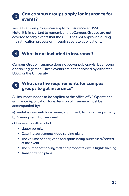# **Can campus groups apply for insurance for events? <sup>3</sup>**

Yes, all campus groups can apply for insurance at USSU. Note: It is important to remember that Campus Groups are not covered for any events that the USSU has not approved during the ratification process or through separate applications.

# **4 What is not included in insurance?**

Campus Group Insurance does not cover pub crawls, beer pong or drinking games. These events are not endorsed by either the USSU or the University.

# **What are the requirements for campus groups to get insurance? <sup>5</sup>**

All insurance needs to be applied at the office of VP Operations & Finance Application for extension of insurance must be accompanied by:

- a) Rental agreements for a venue, equipment, land or other property
- b) Gaming Permits, if required
- c) For events with alcohol:
	- Liquor permits
	- Catering agreements/food serving plans
	- The volume of beer, wine and spirits being purchased/served at the event
	- The number of serving staff and proof of 'Serve it Right' training
	- Transportation plans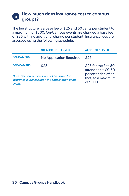# **How much does insurance cost to campus groups? <sup>6</sup>**

The fee structure is a base fee of \$25 and 50 cents per student to a maximum of \$500. On-Campus events are charged a base fee of \$25 with no additional charge per student. Insurance fees are assessed using the following schedule:

|                                                                                                         | <b>NO ALCOHOL SERVED</b> | <b>ALCOHOL SERVED</b>                                 |
|---------------------------------------------------------------------------------------------------------|--------------------------|-------------------------------------------------------|
| <b>ON-CAMPUS</b>                                                                                        | No Application Required  | \$25                                                  |
| <b>OFF-CAMPUS</b>                                                                                       | \$25                     | \$25 for the first 50<br>attendees $+$ \$0.50         |
| Note: Reimbursements will not be issued for<br>insurance expenses upon the cancellation of an<br>event. |                          | per attendee after<br>that, to a maximum<br>of \$500. |